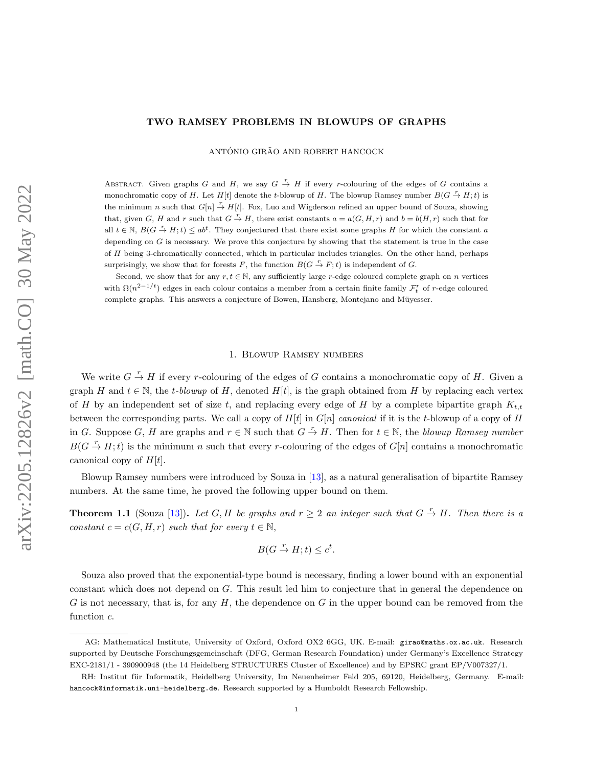# <span id="page-0-0"></span>TWO RAMSEY PROBLEMS IN BLOWUPS OF GRAPHS

ANTÓNIO GIRÃO AND ROBERT HANCOCK

ABSTRACT. Given graphs G and H, we say  $G \stackrel{r}{\rightarrow} H$  if every r-colouring of the edges of G contains a monochromatic copy of H. Let  $H[t]$  denote the t-blowup of H. The blowup Ramsey number  $B(G \overset{r}{\rightarrow} H; t)$  is the minimum n such that  $G[n] \stackrel{r}{\to} H[t]$ . Fox, Luo and Wigderson refined an upper bound of Souza, showing that, given G, H and r such that  $G \stackrel{r}{\to} H$ , there exist constants  $a = a(G, H, r)$  and  $b = b(H, r)$  such that for all  $t \in \mathbb{N}$ ,  $B(G \stackrel{r}{\to} H; t) \leq ab^t$ . They conjectured that there exist some graphs H for which the constant a depending on  $G$  is necessary. We prove this conjecture by showing that the statement is true in the case of  $H$  being 3-chromatically connected, which in particular includes triangles. On the other hand, perhaps surprisingly, we show that for forests F, the function  $B(G \overset{r}{\to} F; t)$  is independent of G.

Second, we show that for any  $r, t \in \mathbb{N}$ , any sufficiently large r-edge coloured complete graph on n vertices with  $\Omega(n^{2-1/t})$  edges in each colour contains a member from a certain finite family  $\mathcal{F}_t^r$  of r-edge coloured complete graphs. This answers a conjecture of Bowen, Hansberg, Montejano and Müyesser.

#### 1. Blowup Ramsey numbers

We write  $G \stackrel{r}{\rightarrow} H$  if every r-colouring of the edges of G contains a monochromatic copy of H. Given a graph H and  $t \in \mathbb{N}$ , the t-blowup of H, denoted H[t], is the graph obtained from H by replacing each vertex of H by an independent set of size t, and replacing every edge of H by a complete bipartite graph  $K_{t,t}$ between the corresponding parts. We call a copy of  $H[t]$  in  $G[n]$  canonical if it is the t-blowup of a copy of H in G. Suppose G, H are graphs and  $r \in \mathbb{N}$  such that  $G \stackrel{r}{\to} H$ . Then for  $t \in \mathbb{N}$ , the blowup Ramsey number  $B(G \overset{r}{\rightarrow} H; t)$  is the minimum n such that every r-colouring of the edges of  $G[n]$  contains a monochromatic canonical copy of  $H[t]$ .

Blowup Ramsey numbers were introduced by Souza in [\[13\]](#page-11-0), as a natural generalisation of bipartite Ramsey numbers. At the same time, he proved the following upper bound on them.

**Theorem 1.1** (Souza [\[13\]](#page-11-0)). Let G, H be graphs and  $r \geq 2$  an integer such that  $G \stackrel{r}{\rightarrow} H$ . Then there is a constant  $c = c(G, H, r)$  such that for every  $t \in \mathbb{N}$ ,

$$
B(G \stackrel{r}{\to} H; t) \leq c^t.
$$

Souza also proved that the exponential-type bound is necessary, finding a lower bound with an exponential constant which does not depend on G. This result led him to conjecture that in general the dependence on G is not necessary, that is, for any H, the dependence on G in the upper bound can be removed from the function c.

AG: Mathematical Institute, University of Oxford, Oxford OX2 6GG, UK. E-mail: girao@maths.ox.ac.uk. Research supported by Deutsche Forschungsgemeinschaft (DFG, German Research Foundation) under Germany's Excellence Strategy EXC-2181/1 - 390900948 (the 14 Heidelberg STRUCTURES Cluster of Excellence) and by EPSRC grant EP/V007327/1.

RH: Institut für Informatik, Heidelberg University, Im Neuenheimer Feld 205, 69120, Heidelberg, Germany. E-mail: hancock@informatik.uni-heidelberg.de. Research supported by a Humboldt Research Fellowship.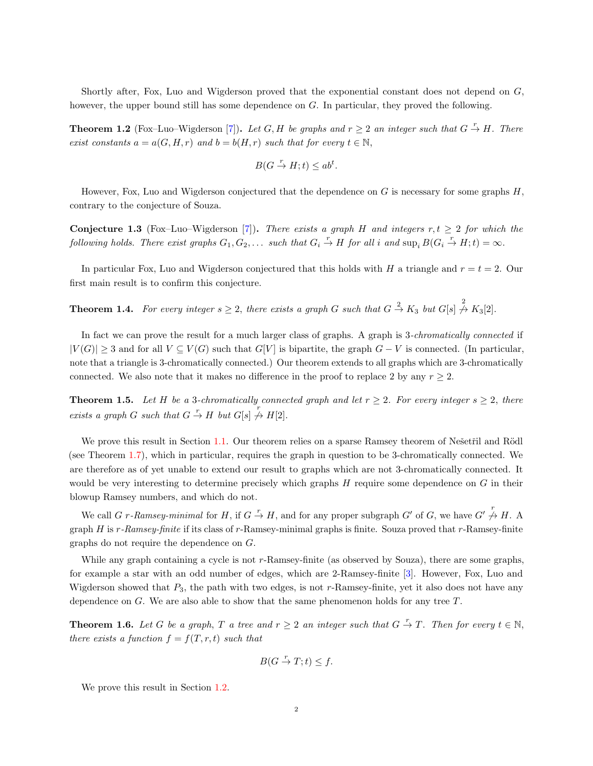<span id="page-1-3"></span>Shortly after, Fox, Luo and Wigderson proved that the exponential constant does not depend on G, however, the upper bound still has some dependence on G. In particular, they proved the following.

**Theorem 1.2** (Fox–Luo–Wigderson [\[7\]](#page-10-0)). Let G, H be graphs and  $r \geq 2$  an integer such that  $G \stackrel{r}{\to} H$ . There exist constants  $a = a(G, H, r)$  and  $b = b(H, r)$  such that for every  $t \in \mathbb{N}$ ,

$$
B(G \stackrel{r}{\to} H; t) \le ab^t.
$$

However, Fox, Luo and Wigderson conjectured that the dependence on  $G$  is necessary for some graphs  $H$ , contrary to the conjecture of Souza.

Conjecture 1.3 (Fox–Luo–Wigderson [\[7\]](#page-10-0)). There exists a graph H and integers r,  $t \geq 2$  for which the following holds. There exist graphs  $G_1, G_2, \ldots$  such that  $G_i \stackrel{r}{\to} H$  for all i and  $\sup_i B(G_i \stackrel{r}{\to} H; t) = \infty$ .

In particular Fox, Luo and Wigderson conjectured that this holds with H a triangle and  $r = t = 2$ . Our first main result is to confirm this conjecture.

<span id="page-1-0"></span>**Theorem 1.4.** For every integer  $s \geq 2$ , there exists a graph G such that  $G \stackrel{2}{\rightarrow} K_3$  but  $G[s] \stackrel{2}{\rightarrow} K_3[2]$ .

In fact we can prove the result for a much larger class of graphs. A graph is 3-*chromatically connected* if  $|V(G)| \geq 3$  and for all  $V \subseteq V(G)$  such that  $G[V]$  is bipartite, the graph  $G - V$  is connected. (In particular, note that a triangle is 3-chromatically connected.) Our theorem extends to all graphs which are 3-chromatically connected. We also note that it makes no difference in the proof to replace 2 by any  $r \geq 2$ .

<span id="page-1-1"></span>**Theorem 1.5.** Let H be a 3-chromatically connected graph and let  $r \geq 2$ . For every integer  $s \geq 2$ , there exists a graph G such that  $G \stackrel{r}{\to} H$  but  $G[s] \not \stackrel{r}{\to} H[2]$ .

We prove this result in Section [1.1.](#page-2-0) Our theorem relies on a sparse Ramsey theorem of Nešetřil and Rödl (see Theorem [1.7\)](#page-2-1), which in particular, requires the graph in question to be 3-chromatically connected. We are therefore as of yet unable to extend our result to graphs which are not 3-chromatically connected. It would be very interesting to determine precisely which graphs  $H$  require some dependence on  $G$  in their blowup Ramsey numbers, and which do not.

We call G r-Ramsey-minimal for H, if  $G \stackrel{r}{\to} H$ , and for any proper subgraph G' of G, we have  $G' \stackrel{r}{\to} H$ . A graph  $H$  is  $r$ -Ramsey-finite if its class of  $r$ -Ramsey-minimal graphs is finite. Souza proved that  $r$ -Ramsey-finite graphs do not require the dependence on G.

While any graph containing a cycle is not r-Ramsey-finite (as observed by Souza), there are some graphs, for example a star with an odd number of edges, which are 2-Ramsey-finite [\[3\]](#page-10-1). However, Fox, Luo and Wigderson showed that  $P_3$ , the path with two edges, is not  $r$ -Ramsey-finite, yet it also does not have any dependence on  $G$ . We are also able to show that the same phenomenon holds for any tree  $T$ .

<span id="page-1-2"></span>**Theorem 1.6.** Let G be a graph, T a tree and  $r \geq 2$  an integer such that  $G \stackrel{r}{\to} T$ . Then for every  $t \in \mathbb{N}$ , there exists a function  $f = f(T, r, t)$  such that

$$
B(G \stackrel{r}{\to} T; t) \le f.
$$

We prove this result in Section [1.2.](#page-4-0)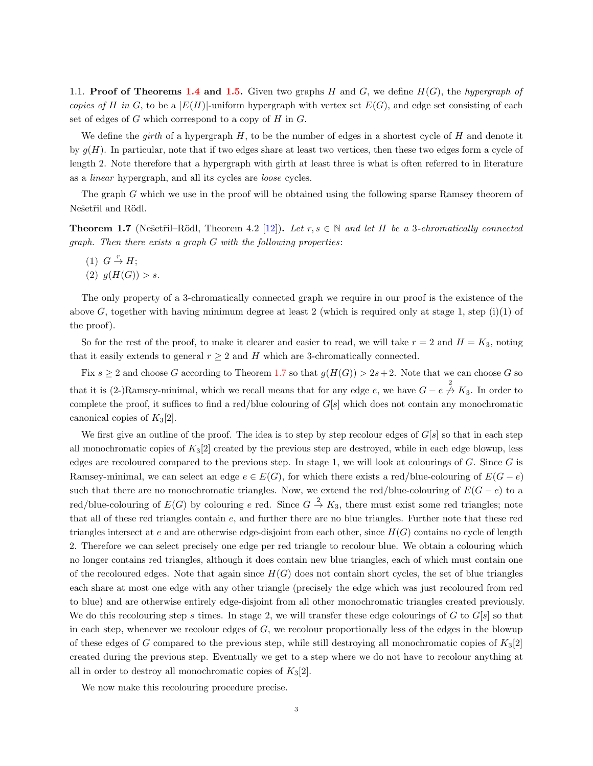<span id="page-2-2"></span><span id="page-2-0"></span>1.1. **Proof of Theorems [1.4](#page-1-0) and [1.5.](#page-1-1)** Given two graphs H and G, we define  $H(G)$ , the hypergraph of copies of H in G, to be a  $|E(H)|$ -uniform hypergraph with vertex set  $E(G)$ , and edge set consisting of each set of edges of  $G$  which correspond to a copy of  $H$  in  $G$ .

We define the girth of a hypergraph  $H$ , to be the number of edges in a shortest cycle of  $H$  and denote it by  $q(H)$ . In particular, note that if two edges share at least two vertices, then these two edges form a cycle of length 2. Note therefore that a hypergraph with girth at least three is what is often referred to in literature as a linear hypergraph, and all its cycles are loose cycles.

The graph G which we use in the proof will be obtained using the following sparse Ramsey theorem of Nešetřil and Rödl.

<span id="page-2-1"></span>**Theorem 1.7** (Nešetřil–Rödl, Theorem 4.2 [\[12\]](#page-11-1)). Let  $r, s \in \mathbb{N}$  and let H be a 3-chromatically connected graph. Then there exists a graph G with the following properties:

- $(1)$   $G \stackrel{r}{\rightarrow} H;$
- (2)  $g(H(G)) > s$ .

The only property of a 3-chromatically connected graph we require in our proof is the existence of the above G, together with having minimum degree at least 2 (which is required only at stage 1, step  $(i)(1)$  of the proof).

So for the rest of the proof, to make it clearer and easier to read, we will take  $r = 2$  and  $H = K_3$ , noting that it easily extends to general  $r \geq 2$  and H which are 3-chromatically connected.

Fix  $s \geq 2$  and choose G according to Theorem [1.7](#page-2-1) so that  $g(H(G)) > 2s+2$ . Note that we can choose G so that it is (2-)Ramsey-minimal, which we recall means that for any edge e, we have  $G - e \stackrel{2}{\rightarrow} K_3$ . In order to complete the proof, it suffices to find a red/blue colouring of  $G[s]$  which does not contain any monochromatic canonical copies of  $K_3[2]$ .

We first give an outline of the proof. The idea is to step by step recolour edges of  $G[s]$  so that in each step all monochromatic copies of  $K_3[2]$  created by the previous step are destroyed, while in each edge blowup, less edges are recoloured compared to the previous step. In stage 1, we will look at colourings of  $G$ . Since  $G$  is Ramsey-minimal, we can select an edge  $e \in E(G)$ , for which there exists a red/blue-colouring of  $E(G - e)$ such that there are no monochromatic triangles. Now, we extend the red/blue-colouring of  $E(G - e)$  to a red/blue-colouring of  $E(G)$  by colouring e red. Since  $G \stackrel{2}{\rightarrow} K_3$ , there must exist some red triangles; note that all of these red triangles contain e, and further there are no blue triangles. Further note that these red triangles intersect at e and are otherwise edge-disjoint from each other, since  $H(G)$  contains no cycle of length 2. Therefore we can select precisely one edge per red triangle to recolour blue. We obtain a colouring which no longer contains red triangles, although it does contain new blue triangles, each of which must contain one of the recoloured edges. Note that again since  $H(G)$  does not contain short cycles, the set of blue triangles each share at most one edge with any other triangle (precisely the edge which was just recoloured from red to blue) and are otherwise entirely edge-disjoint from all other monochromatic triangles created previously. We do this recolouring step s times. In stage 2, we will transfer these edge colourings of G to  $G[s]$  so that in each step, whenever we recolour edges of  $G$ , we recolour proportionally less of the edges in the blowup of these edges of G compared to the previous step, while still destroying all monochromatic copies of  $K_3[2]$ created during the previous step. Eventually we get to a step where we do not have to recolour anything at all in order to destroy all monochromatic copies of  $K_3[2]$ .

We now make this recolouring procedure precise.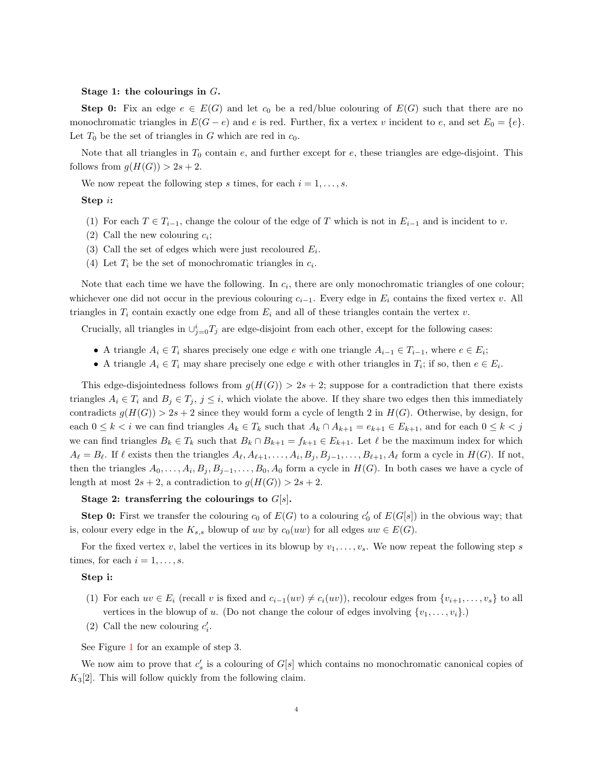### Stage 1: the colourings in G.

**Step 0:** Fix an edge  $e \in E(G)$  and let  $c_0$  be a red/blue colouring of  $E(G)$  such that there are no monochromatic triangles in  $E(G - e)$  and e is red. Further, fix a vertex v incident to e, and set  $E_0 = \{e\}$ . Let  $T_0$  be the set of triangles in G which are red in  $c_0$ .

Note that all triangles in  $T_0$  contain e, and further except for e, these triangles are edge-disjoint. This follows from  $g(H(G)) > 2s + 2$ .

We now repeat the following step s times, for each  $i = 1, \ldots, s$ .

### Step i:

- (1) For each  $T \in T_{i-1}$ , change the colour of the edge of T which is not in  $E_{i-1}$  and is incident to v.
- (2) Call the new colouring  $c_i$ ;
- (3) Call the set of edges which were just recoloured  $E_i$ .
- (4) Let  $T_i$  be the set of monochromatic triangles in  $c_i$ .

Note that each time we have the following. In  $c_i$ , there are only monochromatic triangles of one colour; whichever one did not occur in the previous colouring  $c_{i-1}$ . Every edge in  $E_i$  contains the fixed vertex v. All triangles in  $T_i$  contain exactly one edge from  $E_i$  and all of these triangles contain the vertex v.

Crucially, all triangles in  $\cup_{j=0}^{i} T_j$  are edge-disjoint from each other, except for the following cases:

- A triangle  $A_i \in T_i$  shares precisely one edge e with one triangle  $A_{i-1} \in T_{i-1}$ , where  $e \in E_i$ ;
- A triangle  $A_i \in T_i$  may share precisely one edge e with other triangles in  $T_i$ ; if so, then  $e \in E_i$ .

This edge-disjointedness follows from  $g(H(G)) > 2s + 2$ ; suppose for a contradiction that there exists triangles  $A_i \in T_i$  and  $B_j \in T_j$ ,  $j \leq i$ , which violate the above. If they share two edges then this immediately contradicts  $g(H(G)) > 2s + 2$  since they would form a cycle of length 2 in  $H(G)$ . Otherwise, by design, for each  $0 \leq k < i$  we can find triangles  $A_k \in T_k$  such that  $A_k \cap A_{k+1} = e_{k+1} \in E_{k+1}$ , and for each  $0 \leq k < j$ we can find triangles  $B_k \in T_k$  such that  $B_k \cap B_{k+1} = f_{k+1} \in E_{k+1}$ . Let  $\ell$  be the maximum index for which  $A_\ell = B_\ell$ . If  $\ell$  exists then the triangles  $A_\ell, A_{\ell+1}, \ldots, A_i, B_j, B_{j-1}, \ldots, B_{\ell+1}, A_\ell$  form a cycle in  $H(G)$ . If not, then the triangles  $A_0, \ldots, A_i, B_j, B_{j-1}, \ldots, B_0, A_0$  form a cycle in  $H(G)$ . In both cases we have a cycle of length at most  $2s + 2$ , a contradiction to  $g(H(G)) > 2s + 2$ .

# Stage 2: transferring the colourings to  $G[s]$ .

**Step 0:** First we transfer the colouring  $c_0$  of  $E(G)$  to a colouring  $c'_0$  of  $E(G[s])$  in the obvious way; that is, colour every edge in the  $K_{s,s}$  blowup of uw by  $c_0(uw)$  for all edges  $uw \in E(G)$ .

For the fixed vertex v, label the vertices in its blowup by  $v_1, \ldots, v_s$ . We now repeat the following step s times, for each  $i = 1, \ldots, s$ .

# Step i:

- (1) For each  $uv \in E_i$  (recall v is fixed and  $c_{i-1}(uv) \neq c_i(uv)$ ), recolour edges from  $\{v_{i+1}, \ldots, v_s\}$  to all vertices in the blowup of u. (Do not change the colour of edges involving  $\{v_1, \ldots, v_i\}$ .)
- (2) Call the new colouring  $c_i'$ .

See Figure [1](#page-4-1) for an example of step 3.

We now aim to prove that  $c'_s$  is a colouring of  $G[s]$  which contains no monochromatic canonical copies of  $K_3[2]$ . This will follow quickly from the following claim.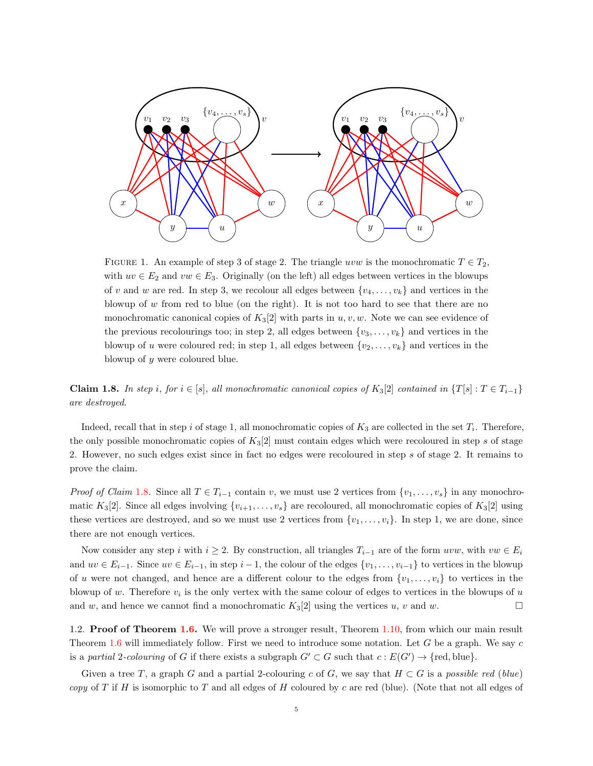<span id="page-4-1"></span>

FIGURE 1. An example of step 3 of stage 2. The triangle uvw is the monochromatic  $T \in T_2$ , with  $uv \in E_2$  and  $vw \in E_3$ . Originally (on the left) all edges between vertices in the blowups of v and w are red. In step 3, we recolour all edges between  $\{v_4, \ldots, v_k\}$  and vertices in the blowup of  $w$  from red to blue (on the right). It is not too hard to see that there are no monochromatic canonical copies of  $K_3[2]$  with parts in  $u, v, w$ . Note we can see evidence of the previous recolourings too; in step 2, all edges between  $\{v_3, \ldots, v_k\}$  and vertices in the blowup of u were coloured red; in step 1, all edges between  $\{v_2, \ldots, v_k\}$  and vertices in the blowup of y were coloured blue.

<span id="page-4-2"></span>**Claim 1.8.** In step i, for  $i \in [s]$ , all monochromatic canonical copies of K<sub>3</sub>[2] contained in  $\{T[s] : T \in T_{i-1}\}$ are destroyed.

Indeed, recall that in step i of stage 1, all monochromatic copies of  $K_3$  are collected in the set  $T_i$ . Therefore, the only possible monochromatic copies of  $K_3[2]$  must contain edges which were recoloured in step s of stage 2. However, no such edges exist since in fact no edges were recoloured in step s of stage 2. It remains to prove the claim.

*Proof of Claim* [1.8.](#page-4-2) Since all  $T \in T_{i-1}$  contain v, we must use 2 vertices from  $\{v_1, \ldots, v_s\}$  in any monochromatic K<sub>3</sub>[2]. Since all edges involving  $\{v_{i+1}, \ldots, v_s\}$  are recoloured, all monochromatic copies of K<sub>3</sub>[2] using these vertices are destroyed, and so we must use 2 vertices from  $\{v_1, \ldots, v_i\}$ . In step 1, we are done, since there are not enough vertices.

Now consider any step i with  $i \geq 2$ . By construction, all triangles  $T_{i-1}$  are of the form uvw, with vw  $\in E_i$ and  $uv \in E_{i-1}$ . Since  $uv \in E_{i-1}$ , in step  $i-1$ , the colour of the edges  $\{v_1, \ldots, v_{i-1}\}$  to vertices in the blowup of u were not changed, and hence are a different colour to the edges from  $\{v_1, \ldots, v_i\}$  to vertices in the blowup of w. Therefore  $v_i$  is the only vertex with the same colour of edges to vertices in the blowups of  $u$ and w, and hence we cannot find a monochromatic  $K_3[2]$  using the vertices u, v and w.

<span id="page-4-0"></span>1.2. Proof of Theorem [1.6.](#page-1-2) We will prove a stronger result, Theorem [1.10,](#page-5-0) from which our main result Theorem [1.6](#page-1-2) will immediately follow. First we need to introduce some notation. Let G be a graph. We say c is a partial 2-colouring of G if there exists a subgraph  $G' \subset G$  such that  $c : E(G') \to \{red, blue\}.$ 

Given a tree T, a graph G and a partial 2-colouring c of G, we say that  $H \subset G$  is a possible red (blue) copy of T if H is isomorphic to T and all edges of H coloured by c are red (blue). (Note that not all edges of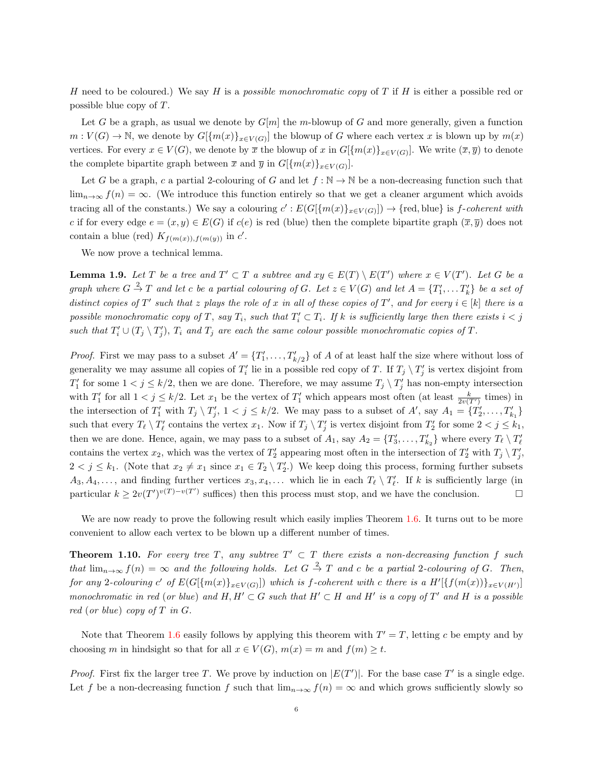H need to be coloured.) We say H is a possible monochromatic copy of T if H is either a possible red or possible blue copy of T.

Let G be a graph, as usual we denote by  $G[m]$  the m-blowup of G and more generally, given a function  $m: V(G) \to \mathbb{N}$ , we denote by  $G[\{m(x)\}_{x \in V(G)}]$  the blowup of G where each vertex x is blown up by  $m(x)$ vertices. For every  $x \in V(G)$ , we denote by  $\overline{x}$  the blowup of x in  $G[\{m(x)\}_{x \in V(G)}]$ . We write  $(\overline{x}, \overline{y})$  to denote the complete bipartite graph between  $\bar{x}$  and  $\bar{y}$  in  $G[\{m(x)\}_{x\in V(G)}].$ 

Let G be a graph, c a partial 2-colouring of G and let  $f : \mathbb{N} \to \mathbb{N}$  be a non-decreasing function such that  $\lim_{n\to\infty} f(n) = \infty$ . (We introduce this function entirely so that we get a cleaner argument which avoids tracing all of the constants.) We say a colouring  $c': E(G[\{m(x)\}_{x\in V(G)}]) \to \{\text{red, blue}\}\$ is f-coherent with c if for every edge  $e = (x, y) \in E(G)$  if  $c(e)$  is red (blue) then the complete bipartite graph  $(\overline{x}, \overline{y})$  does not contain a blue (red)  $K_{f(m(x)),f(m(y))}$  in c'.

We now prove a technical lemma.

<span id="page-5-1"></span>**Lemma 1.9.** Let T be a tree and  $T' \subset T$  a subtree and  $xy \in E(T) \setminus E(T')$  where  $x \in V(T')$ . Let G be a graph where  $G \stackrel{2}{\to} T$  and let c be a partial colouring of G. Let  $z \in V(G)$  and let  $A = \{T'_1, \ldots T'_k\}$  be a set of distinct copies of T' such that z plays the role of x in all of these copies of T', and for every  $i \in [k]$  there is a possible monochromatic copy of T, say  $T_i$ , such that  $T_i' \subset T_i$ . If k is sufficiently large then there exists  $i < j$ such that  $T_i' \cup (T_j \setminus T_j')$ ,  $T_i$  and  $T_j$  are each the same colour possible monochromatic copies of T.

*Proof.* First we may pass to a subset  $A' = \{T'_1, \ldots, T'_{k/2}\}$  of A of at least half the size where without loss of generality we may assume all copies of  $T_i'$  lie in a possible red copy of T. If  $T_j \setminus T_j'$  is vertex disjoint from  $T'_1$  for some  $1 < j \leq k/2$ , then we are done. Therefore, we may assume  $T_j \setminus T'_j$  has non-empty intersection with  $T_1'$  for all  $1 < j \leq k/2$ . Let  $x_1$  be the vertex of  $T_1'$  which appears most often (at least  $\frac{k}{2v(T')}$  times) in the intersection of  $T_1'$  with  $T_j \setminus T_j'$ ,  $1 < j \leq k/2$ . We may pass to a subset of  $A'$ , say  $A_1 = \{T_2', \ldots, T_{k_1}'\}$ such that every  $T_\ell \setminus T'_\ell$  contains the vertex  $x_1$ . Now if  $T_j \setminus T'_j$  is vertex disjoint from  $T'_2$  for some  $2 < j \leq k_1$ , then we are done. Hence, again, we may pass to a subset of  $A_1$ , say  $A_2 = \{T'_3, \ldots, T'_{k_2}\}\$  where every  $T_\ell \setminus T'_\ell$ contains the vertex  $x_2$ , which was the vertex of  $T_2'$  appearing most often in the intersection of  $T_2'$  with  $T_j \setminus T_j'$ ,  $2 < j \leq k_1$ . (Note that  $x_2 \neq x_1$  since  $x_1 \in T_2 \setminus T'_2$ .) We keep doing this process, forming further subsets  $A_3, A_4, \ldots$ , and finding further vertices  $x_3, x_4, \ldots$  which lie in each  $T_\ell \setminus T'_\ell$ . If k is sufficiently large (in particular  $k \geq 2v(T')^{v(T)-v(T')}$  suffices) then this process must stop, and we have the conclusion.

We are now ready to prove the following result which easily implies Theorem [1.6.](#page-1-2) It turns out to be more convenient to allow each vertex to be blown up a different number of times.

<span id="page-5-0"></span>**Theorem 1.10.** For every tree T, any subtree  $T' \subset T$  there exists a non-decreasing function f such that  $\lim_{n\to\infty} f(n) = \infty$  and the following holds. Let  $G \stackrel{2}{\to} T$  and c be a partial 2-colouring of G. Then, for any 2-colouring c' of  $E(G[\{m(x)\}_{x \in V(G)}])$  which is f-coherent with c there is a  $H'[\{f(m(x))\}_{x \in V(H')}]$ monochromatic in red (or blue) and  $H, H' \subset G$  such that  $H' \subset H$  and  $H'$  is a copy of  $T'$  and  $H$  is a possible red (or blue) copy of  $T$  in  $G$ .

Note that Theorem [1.6](#page-1-2) easily follows by applying this theorem with  $T' = T$ , letting c be empty and by choosing m in hindsight so that for all  $x \in V(G)$ ,  $m(x) = m$  and  $f(m) \ge t$ .

*Proof.* First fix the larger tree T. We prove by induction on  $|E(T')|$ . For the base case T' is a single edge. Let f be a non-decreasing function f such that  $\lim_{n\to\infty} f(n) = \infty$  and which grows sufficiently slowly so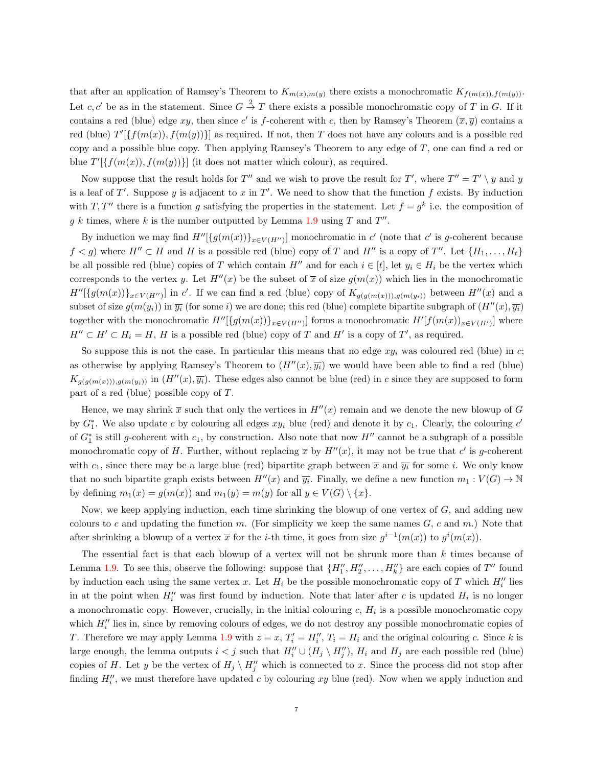that after an application of Ramsey's Theorem to  $K_{m(x),m(y)}$  there exists a monochromatic  $K_{f(m(x)),f(m(y))}$ . Let c, c' be as in the statement. Since  $G \stackrel{2}{\rightarrow} T$  there exists a possible monochromatic copy of T in G. If it contains a red (blue) edge xy, then since c' is f-coherent with c, then by Ramsey's Theorem  $(\bar{x}, \bar{y})$  contains a red (blue)  $T'[\{f(m(x)), f(m(y))\}]$  as required. If not, then T does not have any colours and is a possible red copy and a possible blue copy. Then applying Ramsey's Theorem to any edge of  $T$ , one can find a red or blue  $T'[\{f(m(x)), f(m(y))\}]$  (it does not matter which colour), as required.

Now suppose that the result holds for T'' and we wish to prove the result for T', where  $T'' = T' \setminus y$  and y is a leaf of  $T'$ . Suppose y is adjacent to x in  $T'$ . We need to show that the function f exists. By induction with T, T'' there is a function g satisfying the properties in the statement. Let  $f = g^k$  i.e. the composition of g k times, where k is the number outputted by Lemma [1.9](#page-5-1) using T and  $T''$ .

By induction we may find  $H''[\{g(m(x))\}_{x\in V(H'')}]$  monochromatic in c' (note that c' is g-coherent because  $f < g$ ) where  $H'' \subset H$  and H is a possible red (blue) copy of T and H'' is a copy of T''. Let  $\{H_1, \ldots, H_t\}$ be all possible red (blue) copies of T which contain H<sup>t'</sup> and for each  $i \in [t]$ , let  $y_i \in H_i$  be the vertex which corresponds to the vertex y. Let  $H''(x)$  be the subset of  $\bar{x}$  of size  $g(m(x))$  which lies in the monochromatic  $H''[\{g(m(x))\}_{x\in V(H'')}]$  in c'. If we can find a red (blue) copy of  $K_{g(g(m(x)))g(m(y_i))}$  between  $H''(x)$  and a subset of size  $g(m(y_i))$  in  $\overline{y_i}$  (for some i) we are done; this red (blue) complete bipartite subgraph of  $(H''(x), \overline{y_i})$ together with the monochromatic  $H''[\{g(m(x))\}_{x\in V(H'')}]$  forms a monochromatic  $H'[f(m(x))_{x\in V(H')}]$  where  $H'' \subset H' \subset H_i = H$ , H is a possible red (blue) copy of T and H' is a copy of T', as required.

So suppose this is not the case. In particular this means that no edge  $xy_i$  was coloured red (blue) in c; as otherwise by applying Ramsey's Theorem to  $(H''(x), \overline{y_i})$  we would have been able to find a red (blue)  $K_{q(q(m(x)))\text{,}q(m(y_i))}$  in  $(H''(x), \overline{y_i})$ . These edges also cannot be blue (red) in c since they are supposed to form part of a red (blue) possible copy of T.

Hence, we may shrink  $\bar{x}$  such that only the vertices in  $H''(x)$  remain and we denote the new blowup of G by  $G_1^*$ . We also update c by colouring all edges  $xy_i$  blue (red) and denote it by  $c_1$ . Clearly, the colouring  $c'$ of  $G_1^*$  is still g-coherent with  $c_1$ , by construction. Also note that now  $H''$  cannot be a subgraph of a possible monochromatic copy of H. Further, without replacing  $\bar{x}$  by  $H''(x)$ , it may not be true that c' is g-coherent with  $c_1$ , since there may be a large blue (red) bipartite graph between  $\bar{x}$  and  $\bar{y}_i$  for some i. We only know that no such bipartite graph exists between  $H''(x)$  and  $\overline{y_i}$ . Finally, we define a new function  $m_1 : V(G) \to \mathbb{N}$ by defining  $m_1(x) = g(m(x))$  and  $m_1(y) = m(y)$  for all  $y \in V(G) \setminus \{x\}.$ 

Now, we keep applying induction, each time shrinking the blowup of one vertex of  $G$ , and adding new colours to c and updating the function m. (For simplicity we keep the same names  $G$ , c and m.) Note that after shrinking a blowup of a vertex  $\bar{x}$  for the *i*-th time, it goes from size  $g^{i-1}(m(x))$  to  $g^{i}(m(x))$ .

The essential fact is that each blowup of a vertex will not be shrunk more than k times because of Lemma [1.9.](#page-5-1) To see this, observe the following: suppose that  $\{H''_1, H''_2, \ldots, H''_k\}$  are each copies of  $T''$  found by induction each using the same vertex x. Let  $H_i$  be the possible monochromatic copy of T which  $H_i''$  lies in at the point when  $H_i''$  was first found by induction. Note that later after c is updated  $H_i$  is no longer a monochromatic copy. However, crucially, in the initial colouring  $c, H<sub>i</sub>$  is a possible monochromatic copy which  $H''_i$  lies in, since by removing colours of edges, we do not destroy any possible monochromatic copies of T. Therefore we may apply Lemma [1.9](#page-5-1) with  $z = x$ ,  $T'_i = H''_i$ ,  $T_i = H_i$  and the original colouring c. Since k is large enough, the lemma outputs  $i < j$  such that  $H''_i \cup (H_j \setminus H''_j)$ ,  $H_i$  and  $H_j$  are each possible red (blue) copies of H. Let y be the vertex of  $H_j \setminus H''_j$  which is connected to x. Since the process did not stop after finding  $H_i''$ , we must therefore have updated c by colouring xy blue (red). Now when we apply induction and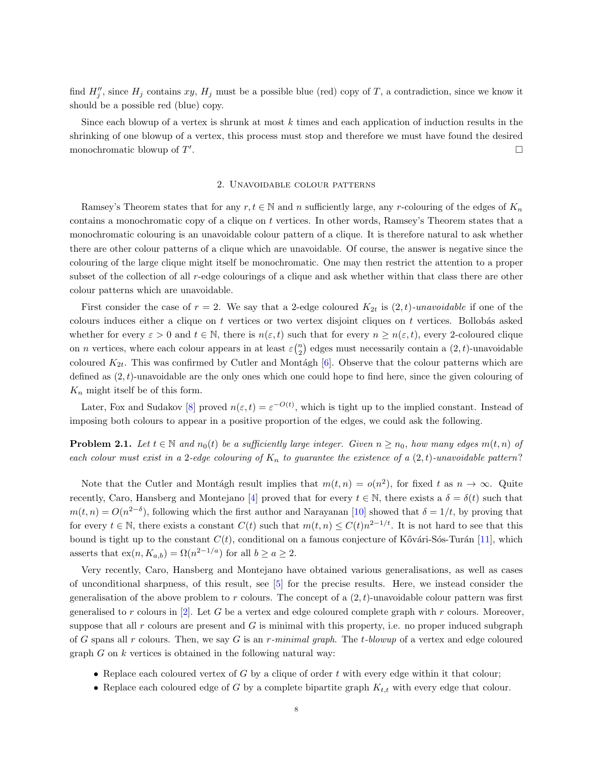<span id="page-7-0"></span>find  $H''_j$ , since  $H_j$  contains  $xy$ ,  $H_j$  must be a possible blue (red) copy of T, a contradiction, since we know it should be a possible red (blue) copy.

Since each blowup of a vertex is shrunk at most  $k$  times and each application of induction results in the shrinking of one blowup of a vertex, this process must stop and therefore we must have found the desired monochromatic blowup of  $T'$ .

### 2. Unavoidable colour patterns

Ramsey's Theorem states that for any  $r, t \in \mathbb{N}$  and n sufficiently large, any r-colouring of the edges of  $K_n$ contains a monochromatic copy of a clique on t vertices. In other words, Ramsey's Theorem states that a monochromatic colouring is an unavoidable colour pattern of a clique. It is therefore natural to ask whether there are other colour patterns of a clique which are unavoidable. Of course, the answer is negative since the colouring of the large clique might itself be monochromatic. One may then restrict the attention to a proper subset of the collection of all r-edge colourings of a clique and ask whether within that class there are other colour patterns which are unavoidable.

First consider the case of  $r = 2$ . We say that a 2-edge coloured  $K_{2t}$  is  $(2, t)$ -unavoidable if one of the colours induces either a clique on  $t$  vertices or two vertex disjoint cliques on  $t$  vertices. Bollobás asked whether for every  $\varepsilon > 0$  and  $t \in \mathbb{N}$ , there is  $n(\varepsilon, t)$  such that for every  $n \geq n(\varepsilon, t)$ , every 2-coloured clique on *n* vertices, where each colour appears in at least  $\varepsilonbinn{2}$  edges must necessarily contain a  $(2, t)$ -unavoidable coloured  $K_{2t}$ . This was confirmed by Cutler and Montágh [\[6\]](#page-10-2). Observe that the colour patterns which are defined as  $(2, t)$ -unavoidable are the only ones which one could hope to find here, since the given colouring of  $K_n$  might itself be of this form.

Later, Fox and Sudakov [\[8\]](#page-10-3) proved  $n(\varepsilon, t) = \varepsilon^{-O(t)}$ , which is tight up to the implied constant. Instead of imposing both colours to appear in a positive proportion of the edges, we could ask the following.

**Problem 2.1.** Let  $t \in \mathbb{N}$  and  $n_0(t)$  be a sufficiently large integer. Given  $n \geq n_0$ , how many edges  $m(t, n)$  of each colour must exist in a 2-edge colouring of  $K_n$  to guarantee the existence of a  $(2,t)$ -unavoidable pattern?

Note that the Cutler and Montagh result implies that  $m(t,n) = o(n^2)$ , for fixed t as  $n \to \infty$ . Quite recently, Caro, Hansberg and Montejano [\[4\]](#page-10-4) proved that for every  $t \in \mathbb{N}$ , there exists a  $\delta = \delta(t)$  such that  $m(t, n) = O(n^{2-\delta})$ , following which the first author and Narayanan [\[10\]](#page-10-5) showed that  $\delta = 1/t$ , by proving that for every  $t \in \mathbb{N}$ , there exists a constant  $C(t)$  such that  $m(t,n) \leq C(t)n^{2-1/t}$ . It is not hard to see that this bound is tight up to the constant  $C(t)$ , conditional on a famous conjecture of Kővári-Sós-Turán [\[11\]](#page-11-2), which asserts that  $ex(n, K_{a,b}) = \Omega(n^{2-1/a})$  for all  $b \ge a \ge 2$ .

Very recently, Caro, Hansberg and Montejano have obtained various generalisations, as well as cases of unconditional sharpness, of this result, see [\[5\]](#page-10-6) for the precise results. Here, we instead consider the generalisation of the above problem to r colours. The concept of a  $(2, t)$ -unavoidable colour pattern was first generalised to r colours in  $[2]$ . Let G be a vertex and edge coloured complete graph with r colours. Moreover, suppose that all  $r$  colours are present and  $G$  is minimal with this property, i.e. no proper induced subgraph of G spans all r colours. Then, we say G is an r-minimal graph. The t-blowup of a vertex and edge coloured graph  $G$  on  $k$  vertices is obtained in the following natural way:

- Replace each coloured vertex of G by a clique of order t with every edge within it that colour;
- Replace each coloured edge of G by a complete bipartite graph  $K_{t,t}$  with every edge that colour.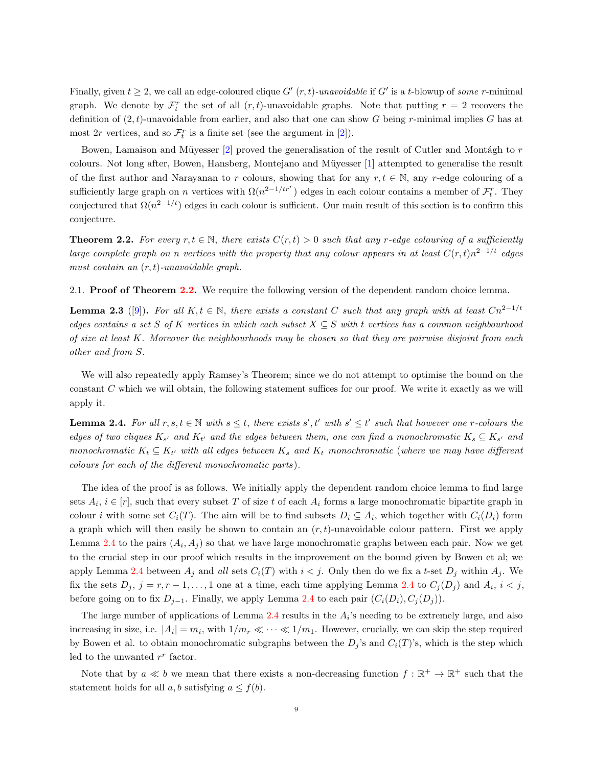<span id="page-8-3"></span>Finally, given  $t \geq 2$ , we call an edge-coloured clique G'  $(r, t)$ -unavoidable if G' is a t-blowup of some r-minimal graph. We denote by  $\mathcal{F}_t^r$  the set of all  $(r, t)$ -unavoidable graphs. Note that putting  $r = 2$  recovers the definition of  $(2, t)$ -unavoidable from earlier, and also that one can show G being r-minimal implies G has at most  $2r$  vertices, and so  $\mathcal{F}_t^r$  is a finite set (see the argument in [\[2\]](#page-10-7)).

Bowen, Lamaison and Müyesser  $[2]$  proved the generalisation of the result of Cutler and Montágh to r colours. Not long after, Bowen, Hansberg, Montejano and Müyesser [\[1\]](#page-10-8) attempted to generalise the result of the first author and Narayanan to r colours, showing that for any  $r, t \in \mathbb{N}$ , any r-edge colouring of a sufficiently large graph on n vertices with  $\Omega(n^{2-1/tr})$  edges in each colour contains a member of  $\mathcal{F}_t^r$ . They conjectured that  $\Omega(n^{2-1/t})$  edges in each colour is sufficient. Our main result of this section is to confirm this conjecture.

<span id="page-8-0"></span>**Theorem 2.2.** For every  $r, t \in \mathbb{N}$ , there exists  $C(r, t) > 0$  such that any r-edge colouring of a sufficiently large complete graph on n vertices with the property that any colour appears in at least  $C(r,t)n^{2-1/t}$  edges must contain an  $(r, t)$ -unavoidable graph.

2.1. **Proof of Theorem [2.2.](#page-8-0)** We require the following version of the dependent random choice lemma.

<span id="page-8-2"></span>**Lemma 2.3** ([\[9\]](#page-10-9)). For all K,  $t \in \mathbb{N}$ , there exists a constant C such that any graph with at least  $Cn^{2-1/t}$ edges contains a set S of K vertices in which each subset  $X \subseteq S$  with t vertices has a common neighbourhood of size at least K. Moreover the neighbourhoods may be chosen so that they are pairwise disjoint from each other and from S.

We will also repeatedly apply Ramsey's Theorem; since we do not attempt to optimise the bound on the constant C which we will obtain, the following statement suffices for our proof. We write it exactly as we will apply it.

<span id="page-8-1"></span>**Lemma 2.4.** For all  $r, s, t \in \mathbb{N}$  with  $s \leq t$ , there exists  $s', t'$  with  $s' \leq t'$  such that however one r-colours the edges of two cliques  $K_{s'}$  and  $K_{t'}$  and the edges between them, one can find a monochromatic  $K_s \subseteq K_{s'}$  and monochromatic  $K_t \subseteq K_{t'}$  with all edges between  $K_s$  and  $K_t$  monochromatic (where we may have different colours for each of the different monochromatic parts ).

The idea of the proof is as follows. We initially apply the dependent random choice lemma to find large sets  $A_i$ ,  $i \in [r]$ , such that every subset T of size t of each  $A_i$  forms a large monochromatic bipartite graph in colour *i* with some set  $C_i(T)$ . The aim will be to find subsets  $D_i \subseteq A_i$ , which together with  $C_i(D_i)$  form a graph which will then easily be shown to contain an  $(r, t)$ -unavoidable colour pattern. First we apply Lemma [2.4](#page-8-1) to the pairs  $(A_i, A_j)$  so that we have large monochromatic graphs between each pair. Now we get to the crucial step in our proof which results in the improvement on the bound given by Bowen et al; we apply Lemma [2.4](#page-8-1) between  $A_j$  and all sets  $C_i(T)$  with  $i < j$ . Only then do we fix a t-set  $D_j$  within  $A_j$ . We fix the sets  $D_j$ ,  $j = r, r - 1, \ldots, 1$  one at a time, each time applying Lemma [2.4](#page-8-1) to  $C_j(D_j)$  and  $A_i$ ,  $i < j$ , before going on to fix  $D_{j-1}$ . Finally, we apply Lemma [2.4](#page-8-1) to each pair  $(C_i(D_i), C_j(D_j))$ .

The large number of applications of Lemma [2.4](#page-8-1) results in the  $A_i$ 's needing to be extremely large, and also increasing in size, i.e.  $|A_i| = m_i$ , with  $1/m_r \ll \cdots \ll 1/m_1$ . However, crucially, we can skip the step required by Bowen et al. to obtain monochromatic subgraphs between the  $D_j$ 's and  $C_i(T)$ 's, which is the step which led to the unwanted  $r^r$  factor.

Note that by  $a \ll b$  we mean that there exists a non-decreasing function  $f : \mathbb{R}^+ \to \mathbb{R}^+$  such that the statement holds for all  $a, b$  satisfying  $a \leq f(b)$ .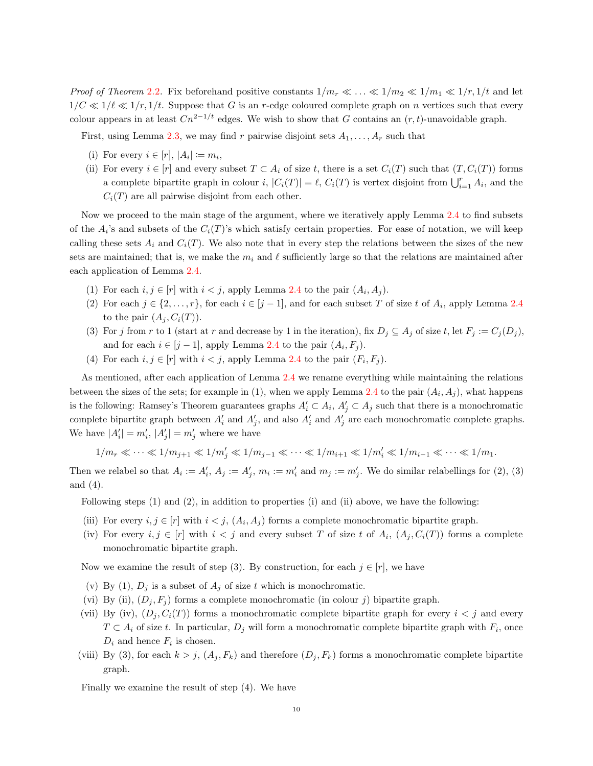*Proof of Theorem [2.2.](#page-8-0)* Fix beforehand positive constants  $1/m_r \ll ... \ll 1/m_2 \ll 1/m_1 \ll 1/r$ ,  $1/t$  and let  $1/C \ll 1/\ell \ll 1/r$ , 1/t. Suppose that G is an r-edge coloured complete graph on n vertices such that every colour appears in at least  $Cn^{2-1/t}$  edges. We wish to show that G contains an  $(r, t)$ -unavoidable graph.

First, using Lemma [2.3,](#page-8-2) we may find r pairwise disjoint sets  $A_1, \ldots, A_r$  such that

- (i) For every  $i \in [r]$ ,  $|A_i| \coloneqq m_i$ ,
- (ii) For every  $i \in [r]$  and every subset  $T \subset A_i$  of size t, there is a set  $C_i(T)$  such that  $(T, C_i(T))$  forms a complete bipartite graph in colour i,  $|C_i(T)| = \ell$ ,  $C_i(T)$  is vertex disjoint from  $\bigcup_{i=1}^r A_i$ , and the  $C_i(T)$  are all pairwise disjoint from each other.

Now we proceed to the main stage of the argument, where we iteratively apply Lemma [2.4](#page-8-1) to find subsets of the  $A_i$ 's and subsets of the  $C_i(T)$ 's which satisfy certain properties. For ease of notation, we will keep calling these sets  $A_i$  and  $C_i(T)$ . We also note that in every step the relations between the sizes of the new sets are maintained; that is, we make the  $m_i$  and  $\ell$  sufficiently large so that the relations are maintained after each application of Lemma [2.4.](#page-8-1)

- (1) For each  $i, j \in [r]$  with  $i < j$ , apply Lemma [2.4](#page-8-1) to the pair  $(A_i, A_j)$ .
- (2) For each  $j \in \{2, ..., r\}$ , for each  $i \in [j-1]$ , and for each subset T of size t of  $A_i$ , apply Lemma [2.4](#page-8-1) to the pair  $(A_j, C_i(T))$ .
- (3) For j from r to 1 (start at r and decrease by 1 in the iteration), fix  $D_j \subseteq A_j$  of size t, let  $F_j := C_j(D_j)$ , and for each  $i \in [j-1]$ , apply Lemma [2.4](#page-8-1) to the pair  $(A_i, F_j)$ .
- (4) For each  $i, j \in [r]$  with  $i < j$ , apply Lemma [2.4](#page-8-1) to the pair  $(F_i, F_j)$ .

As mentioned, after each application of Lemma [2.4](#page-8-1) we rename everything while maintaining the relations between the sizes of the sets; for example in (1), when we apply Lemma [2.4](#page-8-1) to the pair  $(A_i, A_j)$ , what happens is the following: Ramsey's Theorem guarantees graphs  $A'_i \subset A_i$ ,  $A'_j \subset A_j$  such that there is a monochromatic complete bipartite graph between  $A'_i$  and  $A'_j$ , and also  $A'_i$  and  $A'_j$  are each monochromatic complete graphs. We have  $|A'_i| = m'_i, |A'_j| = m'_j$  where we have

$$
1/m_r \ll \cdots \ll 1/m_{j+1} \ll 1/m'_j \ll 1/m_{j-1} \ll \cdots \ll 1/m_{i+1} \ll 1/m'_i \ll 1/m_{i-1} \ll \cdots \ll 1/m_1.
$$

Then we relabel so that  $A_i := A'_i$ ,  $A_j := A'_j$ ,  $m_i := m'_i$  and  $m_j := m'_j$ . We do similar relabellings for (2), (3) and (4).

Following steps (1) and (2), in addition to properties (i) and (ii) above, we have the following:

- (iii) For every  $i, j \in [r]$  with  $i < j$ ,  $(A_i, A_j)$  forms a complete monochromatic bipartite graph.
- (iv) For every  $i, j \in [r]$  with  $i < j$  and every subset T of size t of  $A_i$ ,  $(A_j, C_i(T))$  forms a complete monochromatic bipartite graph.

Now we examine the result of step (3). By construction, for each  $j \in [r]$ , we have

- (v) By (1),  $D_i$  is a subset of  $A_i$  of size t which is monochromatic.
- (vi) By (ii),  $(D_j, F_j)$  forms a complete monochromatic (in colour j) bipartite graph.
- (vii) By (iv),  $(D_i, C_i(T))$  forms a monochromatic complete bipartite graph for every  $i < j$  and every  $T \subset A_i$  of size t. In particular,  $D_j$  will form a monochromatic complete bipartite graph with  $F_i$ , once  $D_i$  and hence  $F_i$  is chosen.
- (viii) By (3), for each  $k > j$ ,  $(A_i, F_k)$  and therefore  $(D_i, F_k)$  forms a monochromatic complete bipartite graph.

Finally we examine the result of step (4). We have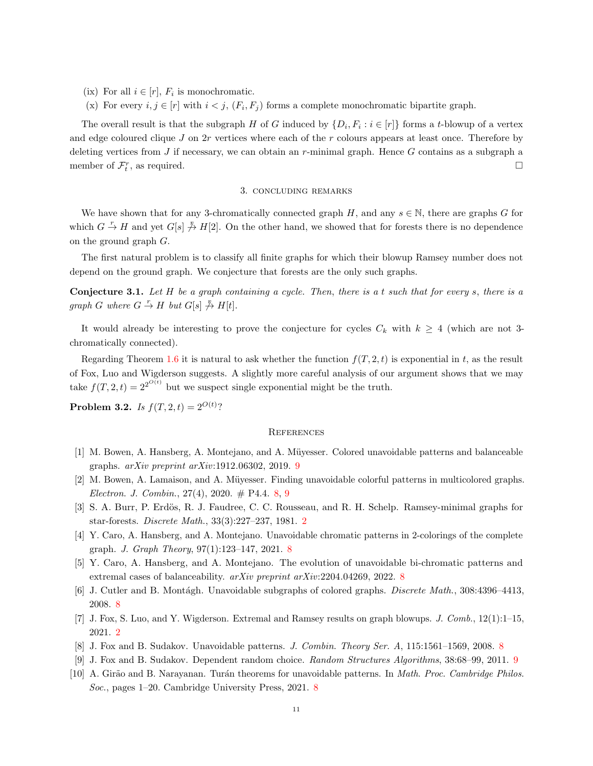- (ix) For all  $i \in [r]$ ,  $F_i$  is monochromatic.
- (x) For every  $i, j \in [r]$  with  $i < j$ ,  $(F_i, F_j)$  forms a complete monochromatic bipartite graph.

The overall result is that the subgraph H of G induced by  $\{D_i, F_i : i \in [r]\}$  forms a t-blowup of a vertex and edge coloured clique  $J$  on  $2r$  vertices where each of the  $r$  colours appears at least once. Therefore by deleting vertices from J if necessary, we can obtain an r-minimal graph. Hence  $G$  contains as a subgraph a member of  $\mathcal{F}_t^r$ , as required.

#### 3. concluding remarks

We have shown that for any 3-chromatically connected graph H, and any  $s \in \mathbb{N}$ , there are graphs G for which  $G \stackrel{r}{\to} H$  and yet  $G[s] \not\stackrel{r}{\to} H[2]$ . On the other hand, we showed that for forests there is no dependence on the ground graph G.

The first natural problem is to classify all finite graphs for which their blowup Ramsey number does not depend on the ground graph. We conjecture that forests are the only such graphs.

**Conjecture 3.1.** Let  $H$  be a graph containing a cycle. Then, there is a t such that for every s, there is a graph G where  $G \stackrel{r}{\to} H$  but  $G[s] \not \stackrel{r}{\to} H[t]$ .

It would already be interesting to prove the conjecture for cycles  $C_k$  with  $k \geq 4$  (which are not 3chromatically connected).

Regarding Theorem [1.6](#page-1-2) it is natural to ask whether the function  $f(T, 2, t)$  is exponential in t, as the result of Fox, Luo and Wigderson suggests. A slightly more careful analysis of our argument shows that we may take  $f(T, 2, t) = 2^{2^{O(t)}}$  but we suspect single exponential might be the truth.

**Problem 3.2.** *Is*  $f(T, 2, t) = 2^{O(t)}$ ?

## **REFERENCES**

- <span id="page-10-8"></span>[1] M. Bowen, A. Hansberg, A. Montejano, and A. Müyesser. Colored unavoidable patterns and balanceable graphs. arXiv preprint arXiv:1912.06302, 2019. [9](#page-8-3)
- <span id="page-10-7"></span>[2] M. Bowen, A. Lamaison, and A. Müyesser. Finding unavoidable colorful patterns in multicolored graphs. Electron. J. Combin.,  $27(4)$ ,  $2020. \#$  P4.4. [8,](#page-7-0) [9](#page-8-3)
- <span id="page-10-1"></span>[3] S. A. Burr, P. Erdös, R. J. Faudree, C. C. Rousseau, and R. H. Schelp. Ramsey-minimal graphs for star-forests. Discrete Math., 33(3):227–237, 1981. [2](#page-1-3)
- <span id="page-10-4"></span>[4] Y. Caro, A. Hansberg, and A. Montejano. Unavoidable chromatic patterns in 2-colorings of the complete graph. J. Graph Theory, 97(1):123–147, 2021. [8](#page-7-0)
- <span id="page-10-6"></span>[5] Y. Caro, A. Hansberg, and A. Montejano. The evolution of unavoidable bi-chromatic patterns and extremal cases of balanceability. *arXiv preprint arXiv:*2204.04269, 2022. [8](#page-7-0)
- <span id="page-10-2"></span>[6] J. Cutler and B. Montágh. Unavoidable subgraphs of colored graphs. *Discrete Math.*, 308:4396–4413, 2008. [8](#page-7-0)
- <span id="page-10-0"></span>[7] J. Fox, S. Luo, and Y. Wigderson. Extremal and Ramsey results on graph blowups. J. Comb., 12(1):1–15, 2021. [2](#page-1-3)
- <span id="page-10-9"></span><span id="page-10-3"></span>[8] J. Fox and B. Sudakov. Unavoidable patterns. J. Combin. Theory Ser. A, 115:1561–1569, 2008. [8](#page-7-0)
- [9] J. Fox and B. Sudakov. Dependent random choice. Random Structures Algorithms, 38:68–99, 2011. [9](#page-8-3)
- <span id="page-10-5"></span>[10] A. Girão and B. Narayanan. Turán theorems for unavoidable patterns. In *Math. Proc. Cambridge Philos.* Soc., pages 1–20. Cambridge University Press, 2021. [8](#page-7-0)